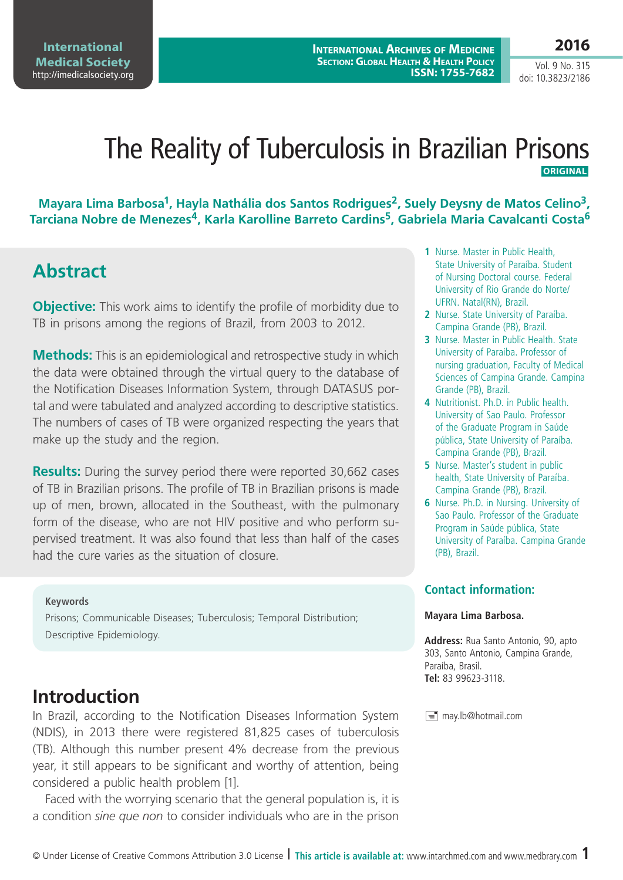**2016**

Vol. 9 No. 315 doi: 10.3823/2186

## The Reality of Tuberculosis in Brazilian Prisons **ORIGINAL**

**Mayara Lima Barbosa1, Hayla Nathália dos Santos Rodrigues2, Suely Deysny de Matos Celino3, Tarciana Nobre de Menezes4, Karla Karolline Barreto Cardins5, Gabriela Maria Cavalcanti Costa6**

# **Abstract**

**Objective:** This work aims to identify the profile of morbidity due to TB in prisons among the regions of Brazil, from 2003 to 2012.

**Methods:** This is an epidemiological and retrospective study in which the data were obtained through the virtual query to the database of the Notification Diseases Information System, through DATASUS portal and were tabulated and analyzed according to descriptive statistics. The numbers of cases of TB were organized respecting the years that make up the study and the region.

**Results:** During the survey period there were reported 30,662 cases of TB in Brazilian prisons. The profile of TB in Brazilian prisons is made up of men, brown, allocated in the Southeast, with the pulmonary form of the disease, who are not HIV positive and who perform supervised treatment. It was also found that less than half of the cases had the cure varies as the situation of closure.

#### **Keywords**

Prisons; Communicable Diseases; Tuberculosis; Temporal Distribution; Descriptive Epidemiology.

## **Introduction**

In Brazil, according to the Notification Diseases Information System (NDIS), in 2013 there were registered 81,825 cases of tuberculosis (TB). Although this number present 4% decrease from the previous year, it still appears to be significant and worthy of attention, being considered a public health problem [1].

Faced with the worrying scenario that the general population is, it is a condition *sine que non* to consider individuals who are in the prison

- **1** Nurse. Master in Public Health, State University of Paraíba. Student of Nursing Doctoral course. Federal University of Rio Grande do Norte/ UFRN. Natal(RN), Brazil.
- **2** Nurse. State University of Paraíba. Campina Grande (PB), Brazil.
- **3** Nurse. Master in Public Health. State University of Paraíba. Professor of nursing graduation, Faculty of Medical Sciences of Campina Grande. Campina Grande (PB), Brazil.
- **4** Nutritionist. Ph.D. in Public health. University of Sao Paulo. Professor of the Graduate Program in Saúde pública, State University of Paraíba. Campina Grande (PB), Brazil.
- **5** Nurse. Master's student in public health, State University of Paraíba. Campina Grande (PB), Brazil.
- **6** Nurse. Ph.D. in Nursing. University of Sao Paulo. Professor of the Graduate Program in Saúde pública, State University of Paraíba. Campina Grande (PB), Brazil.

### **Contact information:**

#### **Mayara Lima Barbosa.**

**Address:** Rua Santo Antonio, 90, apto 303, Santo Antonio, Campina Grande, Paraíba, Brasil. **Tel:** 83 99623-3118.

may.lb@hotmail.com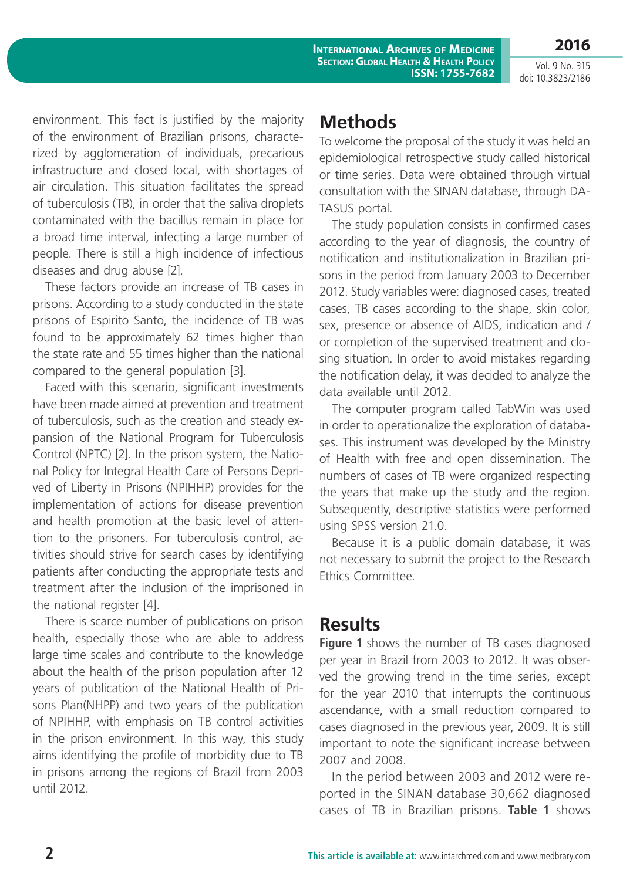Vol. 9 No. 315 doi: 10.3823/2186

**2016**

environment. This fact is justified by the majority of the environment of Brazilian prisons, characterized by agglomeration of individuals, precarious infrastructure and closed local, with shortages of air circulation. This situation facilitates the spread of tuberculosis (TB), in order that the saliva droplets contaminated with the bacillus remain in place for a broad time interval, infecting a large number of people. There is still a high incidence of infectious diseases and drug abuse [2].

These factors provide an increase of TB cases in prisons. According to a study conducted in the state prisons of Espirito Santo, the incidence of TB was found to be approximately 62 times higher than the state rate and 55 times higher than the national compared to the general population [3].

Faced with this scenario, significant investments have been made aimed at prevention and treatment of tuberculosis, such as the creation and steady expansion of the National Program for Tuberculosis Control (NPTC) [2]. In the prison system, the National Policy for Integral Health Care of Persons Deprived of Liberty in Prisons (NPIHHP) provides for the implementation of actions for disease prevention and health promotion at the basic level of attention to the prisoners. For tuberculosis control, activities should strive for search cases by identifying patients after conducting the appropriate tests and treatment after the inclusion of the imprisoned in the national register [4].

There is scarce number of publications on prison health, especially those who are able to address large time scales and contribute to the knowledge about the health of the prison population after 12 years of publication of the National Health of Prisons Plan(NHPP) and two years of the publication of NPIHHP, with emphasis on TB control activities in the prison environment. In this way, this study aims identifying the profile of morbidity due to TB in prisons among the regions of Brazil from 2003 until 2012.

# **Methods**

To welcome the proposal of the study it was held an epidemiological retrospective study called historical or time series. Data were obtained through virtual consultation with the SINAN database, through DA-TASUS portal.

The study population consists in confirmed cases according to the year of diagnosis, the country of notification and institutionalization in Brazilian prisons in the period from January 2003 to December 2012. Study variables were: diagnosed cases, treated cases, TB cases according to the shape, skin color, sex, presence or absence of AIDS, indication and / or completion of the supervised treatment and closing situation. In order to avoid mistakes regarding the notification delay, it was decided to analyze the data available until 2012.

The computer program called TabWin was used in order to operationalize the exploration of databases. This instrument was developed by the Ministry of Health with free and open dissemination. The numbers of cases of TB were organized respecting the years that make up the study and the region. Subsequently, descriptive statistics were performed using SPSS version 21.0.

Because it is a public domain database, it was not necessary to submit the project to the Research Ethics Committee.

## **Results**

**Figure 1** shows the number of TB cases diagnosed per year in Brazil from 2003 to 2012. It was observed the growing trend in the time series, except for the year 2010 that interrupts the continuous ascendance, with a small reduction compared to cases diagnosed in the previous year, 2009. It is still important to note the significant increase between 2007 and 2008.

In the period between 2003 and 2012 were reported in the SINAN database 30,662 diagnosed cases of TB in Brazilian prisons. **Table 1** shows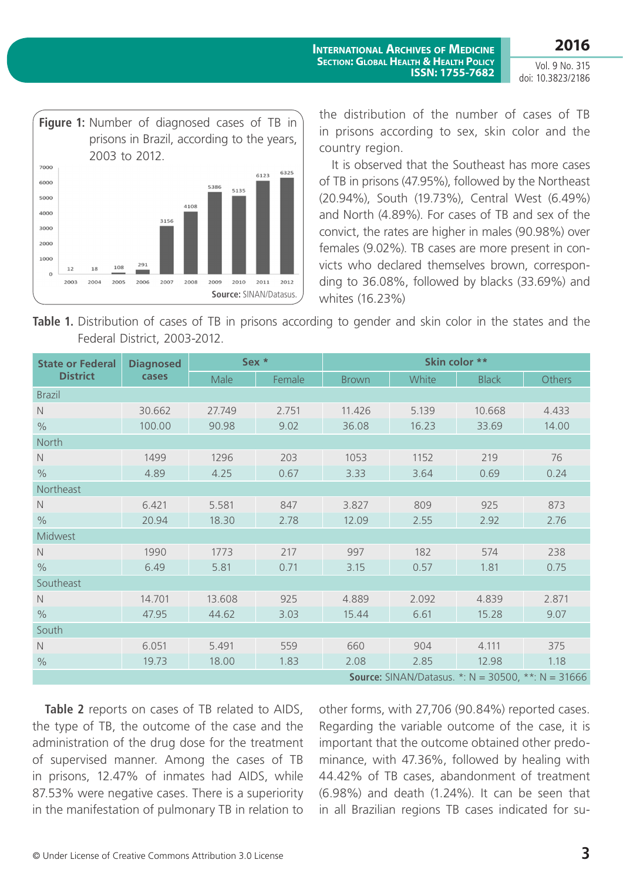Vol. 9 No. 315 doi: 10.3823/2186

**2016**



the distribution of the number of cases of TB in prisons according to sex, skin color and the country region.

**ISSN: 1755-7682**

It is observed that the Southeast has more cases of TB in prisons (47.95%), followed by the Northeast (20.94%), South (19.73%), Central West (6.49%) and North (4.89%). For cases of TB and sex of the convict, the rates are higher in males (90.98%) over females (9.02%). TB cases are more present in convicts who declared themselves brown, corresponding to 36.08%, followed by blacks (33.69%) and whites (16.23%)

**Table 1.** Distribution of cases of TB in prisons according to gender and skin color in the states and the Federal District, 2003-2012.

| <b>State or Federal</b><br><b>District</b>                     | <b>Diagnosed</b><br>cases | Sex *  |        | Skin color ** |       |              |        |  |  |  |
|----------------------------------------------------------------|---------------------------|--------|--------|---------------|-------|--------------|--------|--|--|--|
|                                                                |                           | Male   | Female | <b>Brown</b>  | White | <b>Black</b> | Others |  |  |  |
| <b>Brazil</b>                                                  |                           |        |        |               |       |              |        |  |  |  |
| $\mathbb N$                                                    | 30.662                    | 27.749 | 2.751  | 11.426        | 5.139 | 10.668       | 4.433  |  |  |  |
| $\frac{0}{0}$                                                  | 100.00                    | 90.98  | 9.02   | 36.08         | 16.23 | 33.69        | 14.00  |  |  |  |
| North                                                          |                           |        |        |               |       |              |        |  |  |  |
| $\mathbb N$                                                    | 1499                      | 1296   | 203    | 1053          | 1152  | 219          | 76     |  |  |  |
| $\%$                                                           | 4.89                      | 4.25   | 0.67   | 3.33          | 3.64  | 0.69         | 0.24   |  |  |  |
| Northeast                                                      |                           |        |        |               |       |              |        |  |  |  |
| $\mathbb N$                                                    | 6.421                     | 5.581  | 847    | 3.827         | 809   | 925          | 873    |  |  |  |
| $\frac{0}{0}$                                                  | 20.94                     | 18.30  | 2.78   | 12.09         | 2.55  | 2.92         | 2.76   |  |  |  |
| Midwest                                                        |                           |        |        |               |       |              |        |  |  |  |
| N                                                              | 1990                      | 1773   | 217    | 997           | 182   | 574          | 238    |  |  |  |
| $\frac{0}{0}$                                                  | 6.49                      | 5.81   | 0.71   | 3.15          | 0.57  | 1.81         | 0.75   |  |  |  |
| Southeast                                                      |                           |        |        |               |       |              |        |  |  |  |
| $\hbox{N}$                                                     | 14.701                    | 13.608 | 925    | 4.889         | 2.092 | 4.839        | 2.871  |  |  |  |
| $\%$                                                           | 47.95                     | 44.62  | 3.03   | 15.44         | 6.61  | 15.28        | 9.07   |  |  |  |
| South                                                          |                           |        |        |               |       |              |        |  |  |  |
| $\mathbb N$                                                    | 6.051                     | 5.491  | 559    | 660           | 904   | 4.111        | 375    |  |  |  |
| $\%$                                                           | 19.73                     | 18.00  | 1.83   | 2.08          | 2.85  | 12.98        | 1.18   |  |  |  |
| <b>Source:</b> SINAN/Datasus. *: $N = 30500$ , **: $N = 31666$ |                           |        |        |               |       |              |        |  |  |  |

Table 2 reports on cases of TB related to AIDS, the type of TB, the outcome of the case and the administration of the drug dose for the treatment of supervised manner. Among the cases of TB in prisons, 12.47% of inmates had AIDS, while 87.53% were negative cases. There is a superiority in the manifestation of pulmonary TB in relation to

other forms, with 27,706 (90.84%) reported cases. Regarding the variable outcome of the case, it is important that the outcome obtained other predominance, with 47.36%, followed by healing with 44.42% of TB cases, abandonment of treatment (6.98%) and death (1.24%). It can be seen that in all Brazilian regions TB cases indicated for su-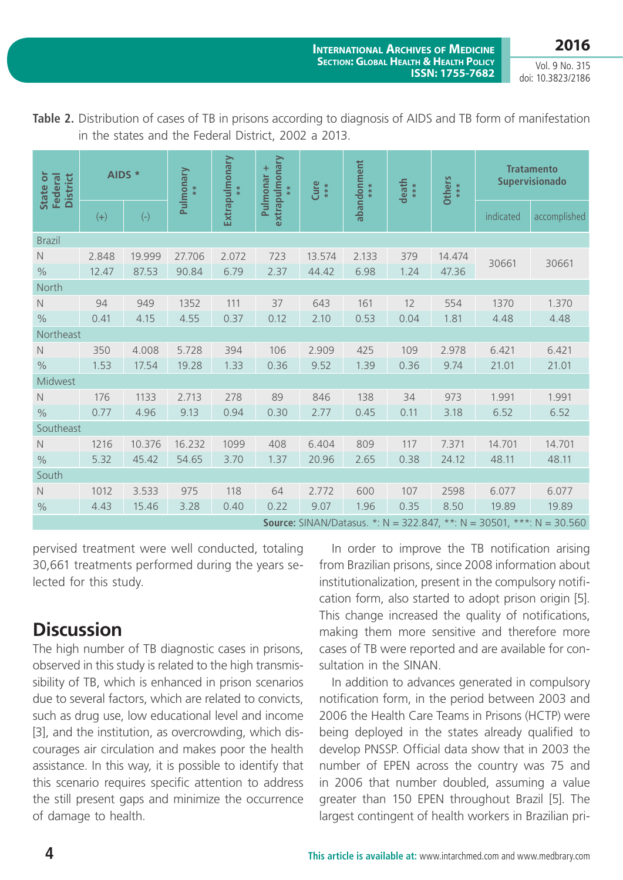**2016**

Vol. 9 No. 315 doi: 10.3823/2186

| State or<br><b>District</b><br>Federal                                       | AIDS *         |                 | Pulmonary       | Extrapulmonary<br>$*$ | extrapulmonary<br>÷<br>Pulmonar<br>$*$ | Cure<br>***     | abandonment<br>**** | death<br>*** | Others<br>***   | <b>Tratamento</b><br><b>Supervisionado</b> |              |
|------------------------------------------------------------------------------|----------------|-----------------|-----------------|-----------------------|----------------------------------------|-----------------|---------------------|--------------|-----------------|--------------------------------------------|--------------|
|                                                                              | $(+)$          | $(-)$           |                 |                       |                                        |                 |                     |              |                 | indicated                                  | accomplished |
| <b>Brazil</b>                                                                |                |                 |                 |                       |                                        |                 |                     |              |                 |                                            |              |
| $\mathbb N$<br>$\frac{0}{0}$                                                 | 2.848<br>12.47 | 19.999<br>87.53 | 27.706<br>90.84 | 2.072<br>6.79         | 723<br>2.37                            | 13.574<br>44.42 | 2.133<br>6.98       | 379<br>1.24  | 14.474<br>47.36 | 30661                                      | 30661        |
| North                                                                        |                |                 |                 |                       |                                        |                 |                     |              |                 |                                            |              |
| $\hbox{N}$                                                                   | 94             | 949             | 1352            | 111                   | 37                                     | 643             | 161                 | 12           | 554             | 1370                                       | 1.370        |
| $\%$                                                                         | 0.41           | 4.15            | 4.55            | 0.37                  | 0.12                                   | 2.10            | 0.53                | 0.04         | 1.81            | 4.48                                       | 4.48         |
| Northeast                                                                    |                |                 |                 |                       |                                        |                 |                     |              |                 |                                            |              |
| $\mathbb N$                                                                  | 350            | 4.008           | 5.728           | 394                   | 106                                    | 2.909           | 425                 | 109          | 2.978           | 6.421                                      | 6.421        |
| $\%$                                                                         | 1.53           | 17.54           | 19.28           | 1.33                  | 0.36                                   | 9.52            | 1.39                | 0.36         | 9.74            | 21.01                                      | 21.01        |
| Midwest                                                                      |                |                 |                 |                       |                                        |                 |                     |              |                 |                                            |              |
| $\hbox{N}$                                                                   | 176            | 1133            | 2.713           | 278                   | 89                                     | 846             | 138                 | 34           | 973             | 1.991                                      | 1.991        |
| $\frac{0}{0}$                                                                | 0.77           | 4.96            | 9.13            | 0.94                  | 0.30                                   | 2.77            | 0.45                | 0.11         | 3.18            | 6.52                                       | 6.52         |
| Southeast                                                                    |                |                 |                 |                       |                                        |                 |                     |              |                 |                                            |              |
| $\mathbb N$                                                                  | 1216           | 10.376          | 16.232          | 1099                  | 408                                    | 6.404           | 809                 | 117          | 7.371           | 14.701                                     | 14.701       |
| $\%$                                                                         | 5.32           | 45.42           | 54.65           | 3.70                  | 1.37                                   | 20.96           | 2.65                | 0.38         | 24.12           | 48.11                                      | 48.11        |
| South                                                                        |                |                 |                 |                       |                                        |                 |                     |              |                 |                                            |              |
| $\hbox{N}$                                                                   | 1012           | 3.533           | 975             | 118                   | 64                                     | 2.772           | 600                 | 107          | 2598            | 6.077                                      | 6.077        |
| $\frac{0}{0}$                                                                | 4.43           | 15.46           | 3.28            | 0.40                  | 0.22                                   | 9.07            | 1.96                | 0.35         | 8.50            | 19.89                                      | 19.89        |
| <b>Source:</b> SINAN/Datasus. *: N = 322.847, **: N = 30501, ***: N = 30.560 |                |                 |                 |                       |                                        |                 |                     |              |                 |                                            |              |

**Table 2.** Distribution of cases of TB in prisons according to diagnosis of AIDS and TB form of manifestation in the states and the Federal District, 2002 a 2013.

pervised treatment were well conducted, totaling 30,661 treatments performed during the years selected for this study.

## **Discussion**

The high number of TB diagnostic cases in prisons, observed in this study is related to the high transmissibility of TB, which is enhanced in prison scenarios due to several factors, which are related to convicts, such as drug use, low educational level and income [3], and the institution, as overcrowding, which discourages air circulation and makes poor the health assistance. In this way, it is possible to identify that this scenario requires specific attention to address the still present gaps and minimize the occurrence of damage to health.

In order to improve the TB notification arising from Brazilian prisons, since 2008 information about institutionalization, present in the compulsory notification form, also started to adopt prison origin [5]. This change increased the quality of notifications, making them more sensitive and therefore more cases of TB were reported and are available for consultation in the SINAN.

In addition to advances generated in compulsory notification form, in the period between 2003 and 2006 the Health Care Teams in Prisons (HCTP) were being deployed in the states already qualified to develop PNSSP. Official data show that in 2003 the number of EPEN across the country was 75 and in 2006 that number doubled, assuming a value greater than 150 EPEN throughout Brazil [5]. The largest contingent of health workers in Brazilian pri-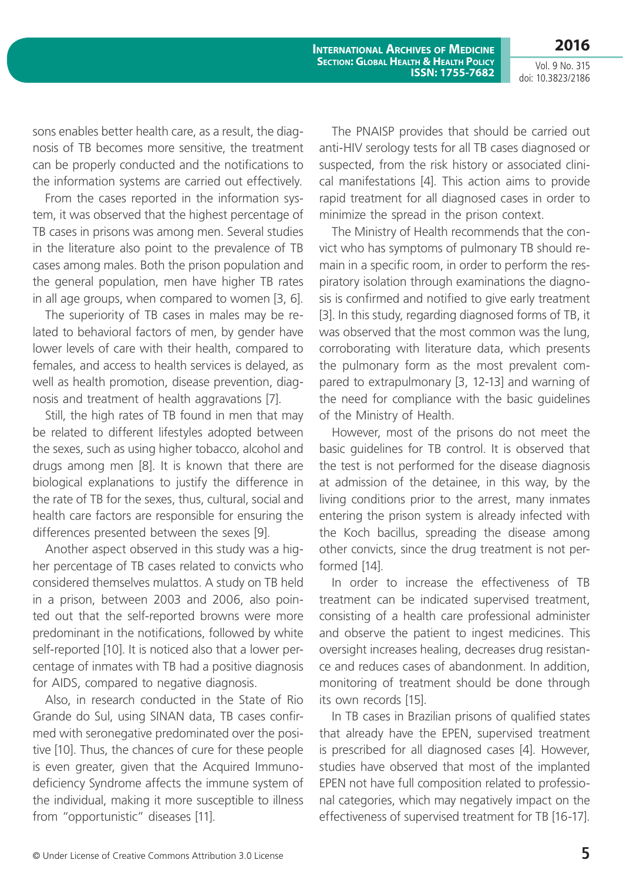**2016** Vol. 9 No. 315

doi: 10.3823/2186

sons enables better health care, as a result, the diagnosis of TB becomes more sensitive, the treatment can be properly conducted and the notifications to the information systems are carried out effectively.

From the cases reported in the information system, it was observed that the highest percentage of TB cases in prisons was among men. Several studies in the literature also point to the prevalence of TB cases among males. Both the prison population and the general population, men have higher TB rates in all age groups, when compared to women [3, 6].

The superiority of TB cases in males may be related to behavioral factors of men, by gender have lower levels of care with their health, compared to females, and access to health services is delayed, as well as health promotion, disease prevention, diagnosis and treatment of health aggravations [7].

Still, the high rates of TB found in men that may be related to different lifestyles adopted between the sexes, such as using higher tobacco, alcohol and drugs among men [8]. It is known that there are biological explanations to justify the difference in the rate of TB for the sexes, thus, cultural, social and health care factors are responsible for ensuring the differences presented between the sexes [9].

Another aspect observed in this study was a higher percentage of TB cases related to convicts who considered themselves mulattos. A study on TB held in a prison, between 2003 and 2006, also pointed out that the self-reported browns were more predominant in the notifications, followed by white self-reported [10]. It is noticed also that a lower percentage of inmates with TB had a positive diagnosis for AIDS, compared to negative diagnosis.

Also, in research conducted in the State of Rio Grande do Sul, using SINAN data, TB cases confirmed with seronegative predominated over the positive [10]. Thus, the chances of cure for these people is even greater, given that the Acquired Immunodeficiency Syndrome affects the immune system of the individual, making it more susceptible to illness from "opportunistic" diseases [11].

The PNAISP provides that should be carried out anti-HIV serology tests for all TB cases diagnosed or suspected, from the risk history or associated clinical manifestations [4]. This action aims to provide rapid treatment for all diagnosed cases in order to minimize the spread in the prison context.

The Ministry of Health recommends that the convict who has symptoms of pulmonary TB should remain in a specific room, in order to perform the respiratory isolation through examinations the diagnosis is confirmed and notified to give early treatment [3]. In this study, regarding diagnosed forms of TB, it was observed that the most common was the lung, corroborating with literature data, which presents the pulmonary form as the most prevalent compared to extrapulmonary [3, 12-13] and warning of the need for compliance with the basic guidelines of the Ministry of Health.

However, most of the prisons do not meet the basic guidelines for TB control. It is observed that the test is not performed for the disease diagnosis at admission of the detainee, in this way, by the living conditions prior to the arrest, many inmates entering the prison system is already infected with the Koch bacillus, spreading the disease among other convicts, since the drug treatment is not performed [14].

In order to increase the effectiveness of TB treatment can be indicated supervised treatment, consisting of a health care professional administer and observe the patient to ingest medicines. This oversight increases healing, decreases drug resistance and reduces cases of abandonment. In addition, monitoring of treatment should be done through its own records [15].

In TB cases in Brazilian prisons of qualified states that already have the EPEN, supervised treatment is prescribed for all diagnosed cases [4]. However, studies have observed that most of the implanted EPEN not have full composition related to professional categories, which may negatively impact on the effectiveness of supervised treatment for TB [16-17].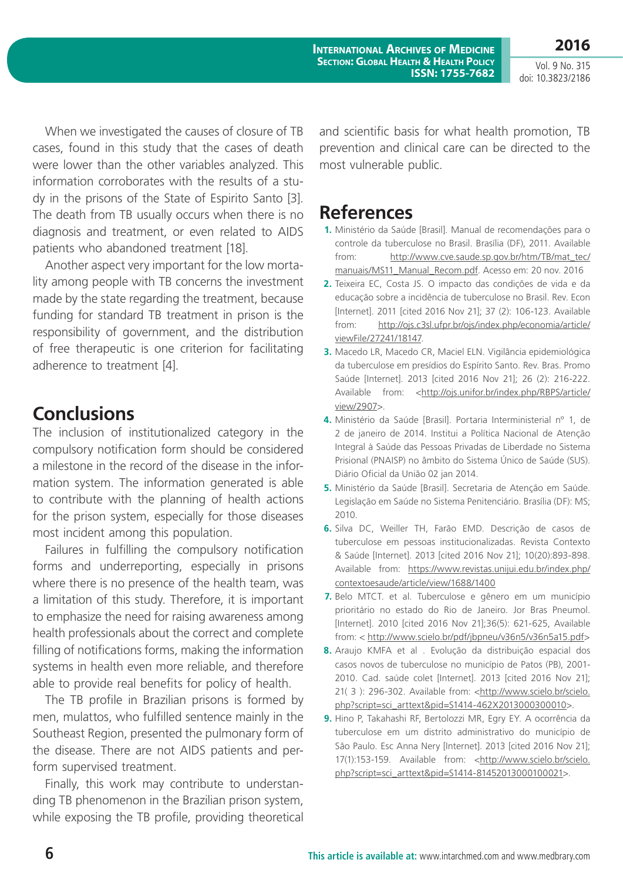Vol. 9 No. 315 doi: 10.3823/2186

**2016**

When we investigated the causes of closure of TB cases, found in this study that the cases of death were lower than the other variables analyzed. This information corroborates with the results of a study in the prisons of the State of Espirito Santo [3]. The death from TB usually occurs when there is no diagnosis and treatment, or even related to AIDS patients who abandoned treatment [18].

Another aspect very important for the low mortality among people with TB concerns the investment made by the state regarding the treatment, because funding for standard TB treatment in prison is the responsibility of government, and the distribution of free therapeutic is one criterion for facilitating adherence to treatment [4].

## **Conclusions**

The inclusion of institutionalized category in the compulsory notification form should be considered a milestone in the record of the disease in the information system. The information generated is able to contribute with the planning of health actions for the prison system, especially for those diseases most incident among this population.

Failures in fulfilling the compulsory notification forms and underreporting, especially in prisons where there is no presence of the health team, was a limitation of this study. Therefore, it is important to emphasize the need for raising awareness among health professionals about the correct and complete filling of notifications forms, making the information systems in health even more reliable, and therefore able to provide real benefits for policy of health.

The TB profile in Brazilian prisons is formed by men, mulattos, who fulfilled sentence mainly in the Southeast Region, presented the pulmonary form of the disease. There are not AIDS patients and perform supervised treatment.

Finally, this work may contribute to understanding TB phenomenon in the Brazilian prison system, while exposing the TB profile, providing theoretical and scientific basis for what health promotion, TB prevention and clinical care can be directed to the most vulnerable public.

## **References**

- **1.** Ministério da Saúde [Brasil]. Manual de recomendações para o controle da tuberculose no Brasil. Brasília (DF), 2011. Available from: http://www.cve.saude.sp.gov.br/htm/TB/mat\_tec/ manuais/MS11\_Manual\_Recom.pdf. Acesso em: 20 nov. 2016
- **2.** Teixeira EC, Costa JS. O impacto das condições de vida e da educação sobre a incidência de tuberculose no Brasil. Rev. Econ [Internet]. 2011 [cited 2016 Nov 21]; 37 (2): 106-123. Available from: http://ojs.c3sl.ufpr.br/ojs/index.php/economia/article/ viewFile/27241/18147.
- **3.** Macedo LR, Macedo CR, Maciel ELN. Vigilância epidemiológica da tuberculose em presídios do Espírito Santo. Rev. Bras. Promo Saúde [Internet]. 2013 [cited 2016 Nov 21]; 26 (2): 216-222. Available from: <http://ojs.unifor.br/index.php/RBPS/article/ view/2907>.
- **4.** Ministério da Saúde [Brasil]. Portaria Interministerial nº 1, de 2 de janeiro de 2014. Institui a Política Nacional de Atenção Integral à Saúde das Pessoas Privadas de Liberdade no Sistema Prisional (PNAISP) no âmbito do Sistema Único de Saúde (SUS). Diário Oficial da União 02 jan 2014.
- **5.** Ministério da Saúde [Brasil]. Secretaria de Atenção em Saúde. Legislação em Saúde no Sistema Penitenciário. Brasília (DF): MS; 2010.
- **6.** Silva DC, Weiller TH, Farão EMD. Descrição de casos de tuberculose em pessoas institucionalizadas. Revista Contexto & Saúde [Internet]. 2013 [cited 2016 Nov 21]; 10(20):893-898. Available from: https://www.revistas.unijui.edu.br/index.php/ contextoesaude/article/view/1688/1400
- **7.** Belo MTCT. et al. Tuberculose e gênero em um município prioritário no estado do Rio de Janeiro. Jor Bras Pneumol. [Internet]. 2010 [cited 2016 Nov 21];36(5): 621-625, Available from: < http://www.scielo.br/pdf/jbpneu/v36n5/v36n5a15.pdf>
- **8.** Araujo KMFA et al . Evolução da distribuição espacial dos casos novos de tuberculose no município de Patos (PB), 2001- 2010. Cad. saúde colet [Internet]. 2013 [cited 2016 Nov 21]; 21( 3 ): 296-302. Available from: <http://www.scielo.br/scielo. php?script=sci\_arttext&pid=S1414-462X2013000300010>.
- **9.** Hino P, Takahashi RF, Bertolozzi MR, Egry EY. A ocorrência da tuberculose em um distrito administrativo do município de São Paulo. Esc Anna Nery [Internet]. 2013 [cited 2016 Nov 21]; 17(1):153-159. Available from: <http://www.scielo.br/scielo. php?script=sci\_arttext&pid=S1414-81452013000100021>.